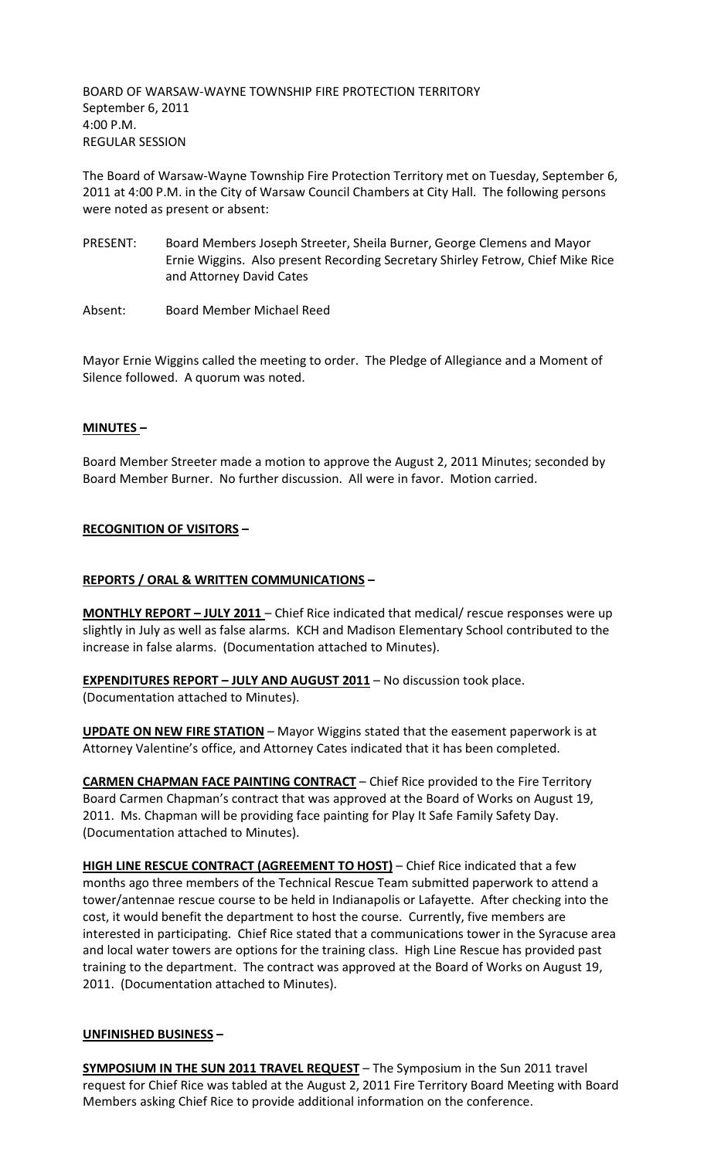BOARD OF WARSAW-WAYNE TOWNSHIP FIRE PROTECTION TERRITORY September 6, 2011 4:00 P.M. REGULAR SESSION

The Board of Warsaw-Wayne Township Fire Protection Territory met on Tuesday, September 6, 2011 at 4:00 P.M. in the City of Warsaw Council Chambers at City Hall. The following persons were noted as present or absent:

- PRESENT: Board Members Joseph Streeter, Sheila Burner, George Clemens and Mayor Ernie Wiggins. Also present Recording Secretary Shirley Fetrow, Chief Mike Rice and Attorney David Cates
- Absent: Board Member Michael Reed

Mayor Ernie Wiggins called the meeting to order. The Pledge of Allegiance and a Moment of Silence followed. A quorum was noted.

# **MINUTES –**

Board Member Streeter made a motion to approve the August 2, 2011 Minutes; seconded by Board Member Burner. No further discussion. All were in favor. Motion carried.

# **RECOGNITION OF VISITORS –**

### **REPORTS / ORAL & WRITTEN COMMUNICATIONS –**

**MONTHLY REPORT – JULY 2011** – Chief Rice indicated that medical/ rescue responses were up slightly in July as well as false alarms. KCH and Madison Elementary School contributed to the increase in false alarms. (Documentation attached to Minutes).

**EXPENDITURES REPORT – JULY AND AUGUST 2011** – No discussion took place. (Documentation attached to Minutes).

**UPDATE ON NEW FIRE STATION** – Mayor Wiggins stated that the easement paperwork is at Attorney Valentine's office, and Attorney Cates indicated that it has been completed.

**CARMEN CHAPMAN FACE PAINTING CONTRACT** – Chief Rice provided to the Fire Territory Board Carmen Chapman's contract that was approved at the Board of Works on August 19, 2011. Ms. Chapman will be providing face painting for Play It Safe Family Safety Day. (Documentation attached to Minutes).

**HIGH LINE RESCUE CONTRACT (AGREEMENT TO HOST)** – Chief Rice indicated that a few months ago three members of the Technical Rescue Team submitted paperwork to attend a tower/antennae rescue course to be held in Indianapolis or Lafayette. After checking into the cost, it would benefit the department to host the course. Currently, five members are interested in participating. Chief Rice stated that a communications tower in the Syracuse area and local water towers are options for the training class. High Line Rescue has provided past training to the department. The contract was approved at the Board of Works on August 19, 2011. (Documentation attached to Minutes).

### **UNFINISHED BUSINESS –**

**SYMPOSIUM IN THE SUN 2011 TRAVEL REQUEST** – The Symposium in the Sun 2011 travel request for Chief Rice was tabled at the August 2, 2011 Fire Territory Board Meeting with Board Members asking Chief Rice to provide additional information on the conference.